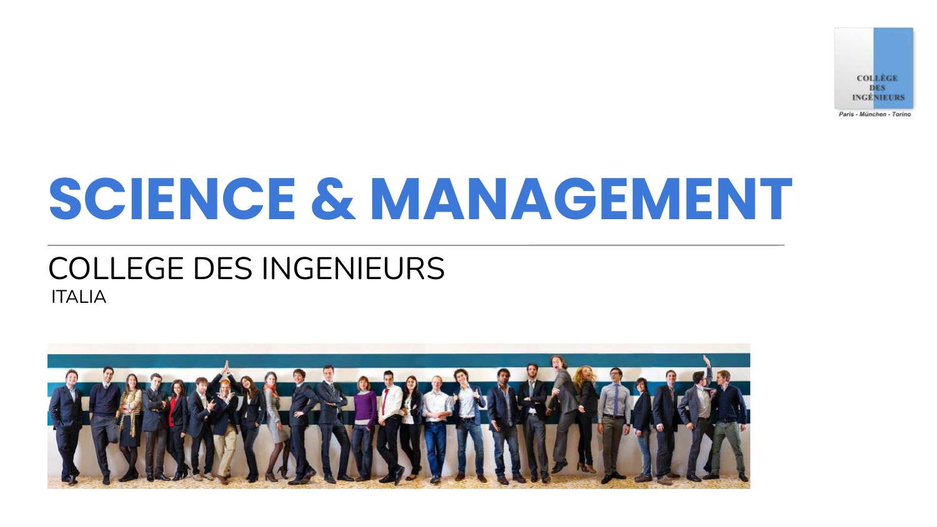

## **SCIENCE & MANAGEMENT**

## COLLEGE DES INGENIEURS ITALIA

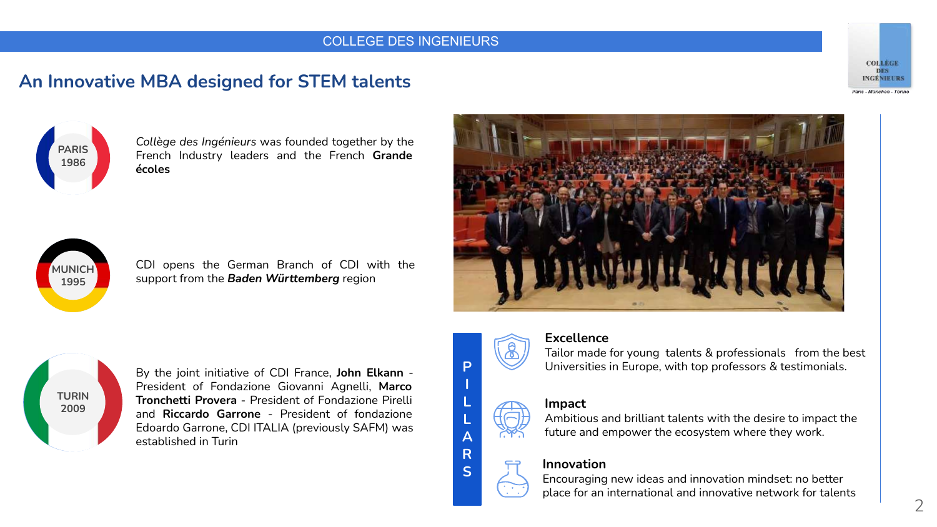## **An Innovative MBA designed for STEM talents**





*Collège des Ingénieurs* was founded together by the French Industry leaders and the French **Grande écoles**



CDI opens the German Branch of CDI with the support from the *Baden Württemberg* region





By the joint initiative of CDI France, **John Elkann** - President of Fondazione Giovanni Agnelli, **Marco Tronchetti Provera** - President of Fondazione Pirelli and **Riccardo Garrone** - President of fondazione Edoardo Garrone, CDI ITALIA (previously SAFM) was established in Turin

**I L L A R S**

**P**



#### **Excellence**

Tailor made for young talents & professionals from the best Universities in Europe, with top professors & testimonials.

#### **Impact**

Ambitious and brilliant talents with the desire to impact the future and empower the ecosystem where they work.

#### **Innovation**



 $\mathcal{P}$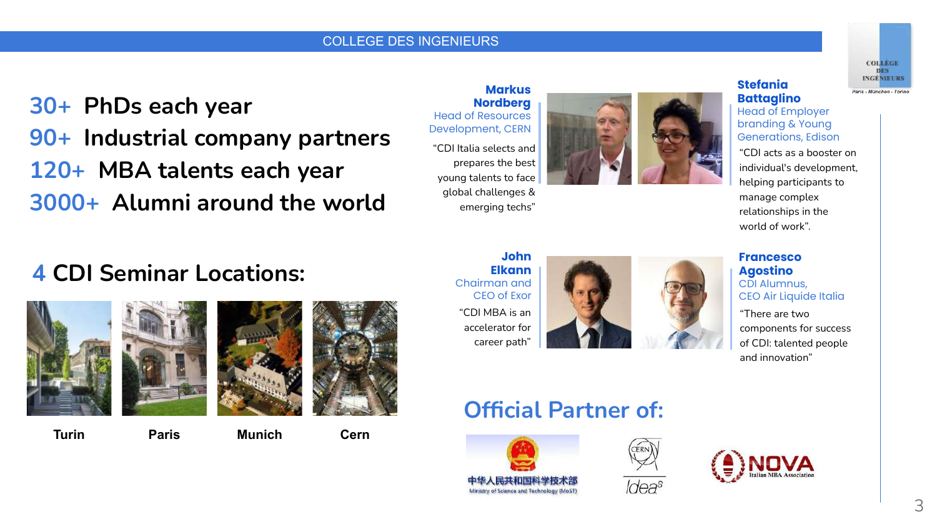#### COLLEGE DES INGENIEURS

**30+ PhDs each year 90+ Industrial company partners 120+ MBA talents each year 3000+ Alumni around the world**

## **4 CDI Seminar Locations:**







**Turin Paris Munich Cern**

**Markus Nordberg** Head of Resources Development, CERN

"CDI Italia selects and prepares the best young talents to face global challenges & emerging techs"



#### **Stefania Battaglino**

Head of Employer branding & Young Generations, Edison

"CDI acts as a booster on individual's development, helping participants to manage complex relationships in the world of work".

**John Elkann** Chairman and CEO of Exor "CDI MBA is an accelerator for career path"



**Francesco Agostino** CDI Alumnus, CEO Air Liquide Italia "There are two

components for success of CDI: talented people and innovation"

**Official Partner of:**







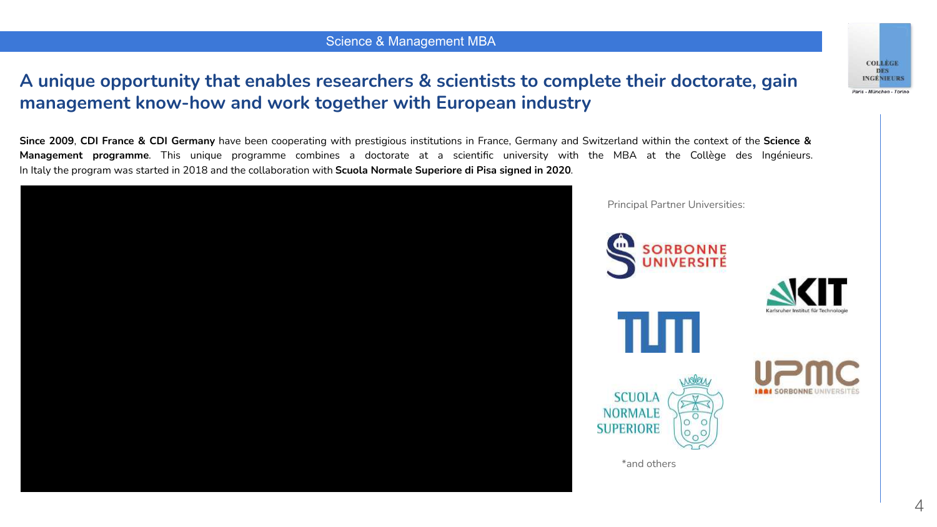#### Science & Management MBA

## **A unique opportunity that enables researchers & scientists to complete their doctorate, gain management know-how and work together with European industry**

**Since 2009**, **CDI France & CDI Germany** have been cooperating with prestigious institutions in France, Germany and Switzerland within the context of the **Science & Management programme**. This unique programme combines a doctorate at a scientific university with the MBA at the Collège des Ingénieurs. In Italy the program was started in 2018 and the collaboration with **Scuola Normale Superiore di Pisa signed in 2020**.

# **SCUOLA NORMALE SUPERIORE** \*and others

Principal Partner Universities:





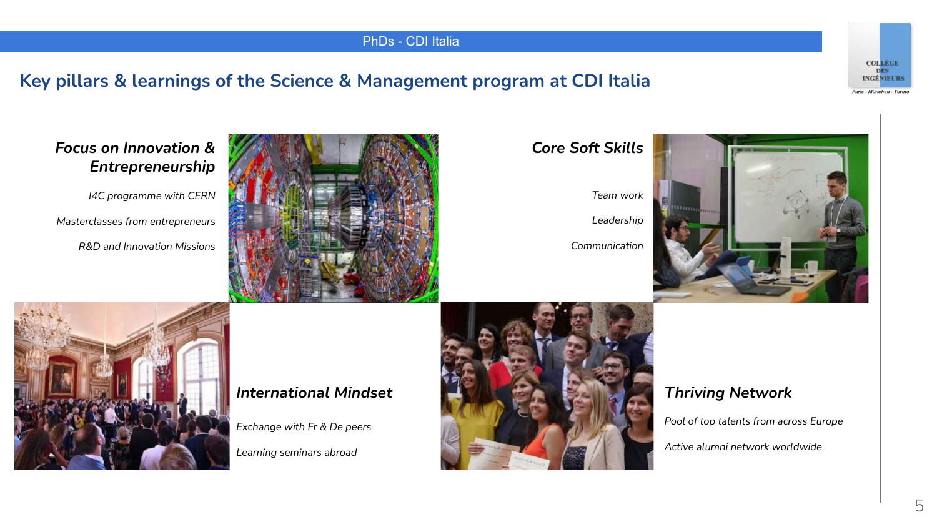#### PhDs - CDI Italia

## **Key pillars & learnings of the Science & Management program at CDI Italia**

**COLLÈGE DES INGÉNIEURS** Paris - München - Torino

## *Focus on Innovation & Entrepreneurship*

*I4C programme with CERN*

*Masterclasses from entrepreneurs R&D and Innovation Missions* 



## *Core Soft Skills*

*Team work*

*Leadership*

*Communication*







*Learning seminars abroad* 



## *Thriving Network*

*Pool of top talents from across Europe*

*Active alumni network worldwide*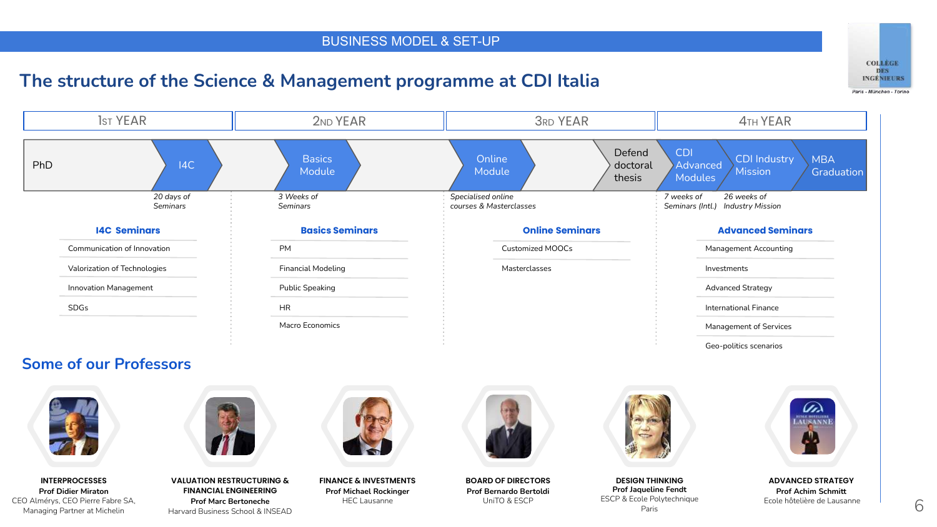## **The structure of the Science & Management programme at CDI Italia**



#### **Some of our Professors**



**INTERPROCESSES Prof Didier Miraton** CEO Almérys, CEO Pierre Fabre SA, Managing Partner at Michelin



**VALUATION RESTRUCTURING & FINANCIAL ENGINEERING Prof Marc Bertoneche** Harvard Business School & INSEAD



**FINANCE & INVESTMENTS Prof Michael Rockinger** HEC Lausanne



**BOARD OF DIRECTORS Prof Bernardo Bertoldi** UniTO & ESCP



**DESIGN THINKING Prof Jaqueline Fendt** ESCP & Ecole Polytechnique Paris



**ADVANCED STRATEGY Prof Achim Schmitt** Ecole hôtelière de Lausanne



**COLLEGE DES INGÉNIEURS** Paris - München - Torino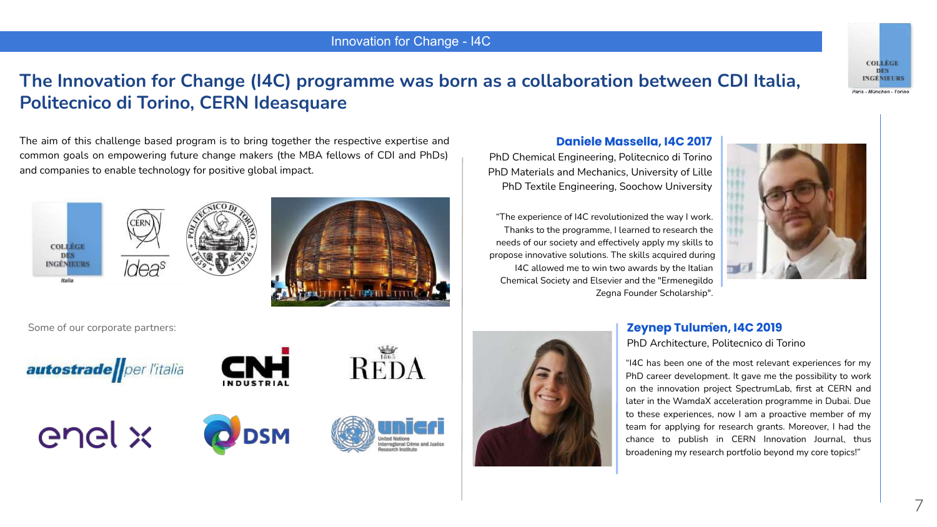#### Innovation for Change - I4C



## **The Innovation for Change (I4C) programme was born as a collaboration between CDI Italia, Politecnico di Torino, CERN Ideasquare**



The aim of this challenge based program is to bring together the respective expertise and common goals on empowering future change makers (the MBA fellows of CDI and PhDs) and companies to enable technology for positive global impact.







#### **Daniele Massella, I4C 2017**

PhD Chemical Engineering, Politecnico di Torino PhD Materials and Mechanics, University of Lille PhD Textile Engineering, Soochow University

"The experience of I4C revolutionized the way I work. Thanks to the programme, I learned to research the needs of our society and effectively apply my skills to propose innovative solutions. The skills acquired during I4C allowed me to win two awards by the Italian Chemical Society and Elsevier and the "Ermenegildo Zegna Founder Scholarship".





#### **Zeynep Tulumen, I4C 2019**

PhD Architecture, Politecnico di Torino

"I4C has been one of the most relevant experiences for my PhD career development. It gave me the possibility to work on the innovation project SpectrumLab, first at CERN and later in the WamdaX acceleration programme in Dubai. Due to these experiences, now I am a proactive member of my team for applying for research grants. Moreover, I had the chance to publish in CERN Innovation Journal, thus broadening my research portfolio beyond my core topics!"



Some of our corporate partners:











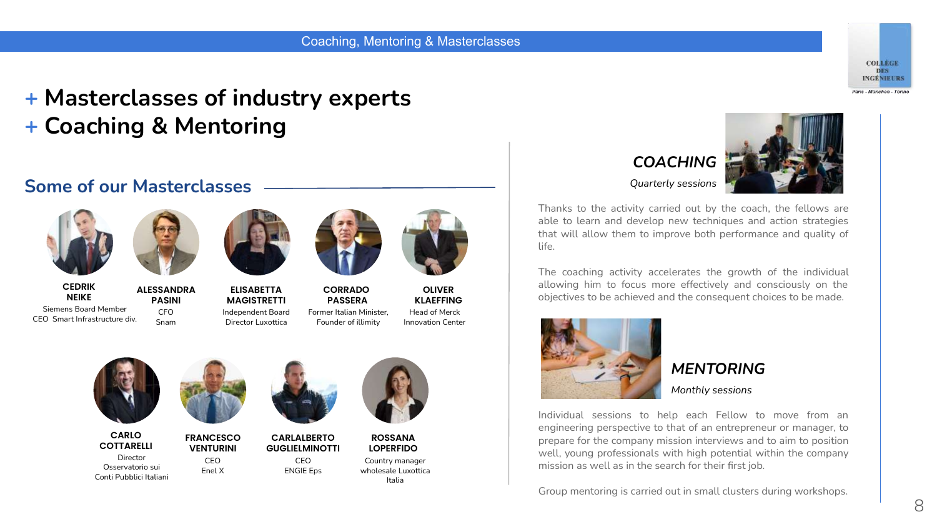## **+ Masterclasses of industry experts + Coaching & Mentoring**

## **Some of our Masterclasses**





**CARLO COTTARELLI**

**Director** Osservatorio sui Conti Pubblici Italiani

**CEDRIK NEIKE** Siemens Board Member CEO Smart Infrastructure div.



**ALESSANDRA PASINI** CFO

Snam

**ELISABETTA MAGISTRETTI** Independent Board Director Luxottica



**CORRADO PASSERA** Former Italian Minister, Founder of illimity Head of Merck Innovation Center

**OLIVER KLAEFFING**

**FRANCESCO VENTURINI CARLALBERTO GUGLIELMINOTTI** CEO

Enel X



CEO ENGIE Eps



Country manager wholesale Luxottica Italia





*Quarterly sessions*

Thanks to the activity carried out by the coach, the fellows are able to learn and develop new techniques and action strategies that will allow them to improve both performance and quality of life.

The coaching activity accelerates the growth of the individual allowing him to focus more effectively and consciously on the objectives to be achieved and the consequent choices to be made.



## *MENTORING*

#### *Monthly sessions*

Individual sessions to help each Fellow to move from an engineering perspective to that of an entrepreneur or manager, to prepare for the company mission interviews and to aim to position well, young professionals with high potential within the company mission as well as in the search for their first job.

Group mentoring is carried out in small clusters during workshops.

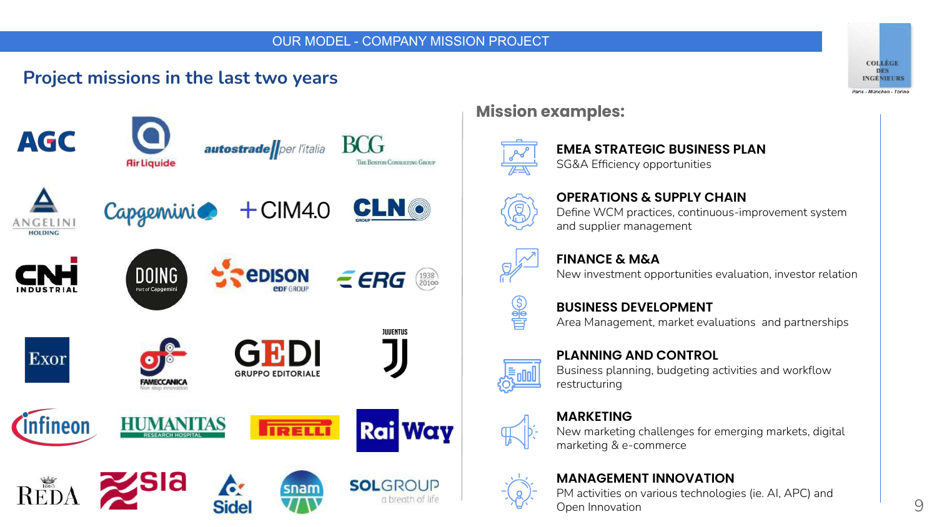## **Project missions in the last two years**





## **Mission examples:**



SG&A Efficiency opportunities

**EMEA STRATEGIC BUSINESS PLAN**



#### **OPERATIONS & SUPPLY CHAIN** Define WCM practices, continuous-improvement system and supplier management



#### **FINANCE & M&A** New investment opportunities evaluation, investor relation



**BUSINESS DEVELOPMENT** Area Management, market evaluations and partnerships



#### **PLANNING AND CONTROL**

Business planning, budgeting activities and workflow restructuring



#### **MARKETING**

New marketing challenges for emerging markets, digital marketing & e-commerce

### **MANAGEMENT INNOVATION**

PM activities on various technologies (ie. AI, APC) and Open Innovation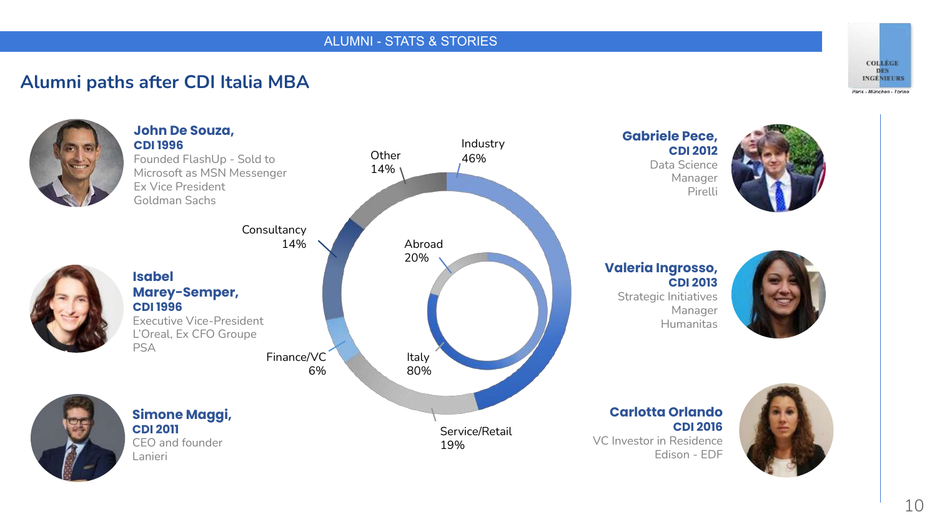## **Alumni paths after CDI Italia MBA**



**Valeria Ingrosso, CDI 2013**

Strategic Initiatives Manager Humanitas



**Carlotta Orlando CDI 2016** VC Investor in Residence Edison - EDF



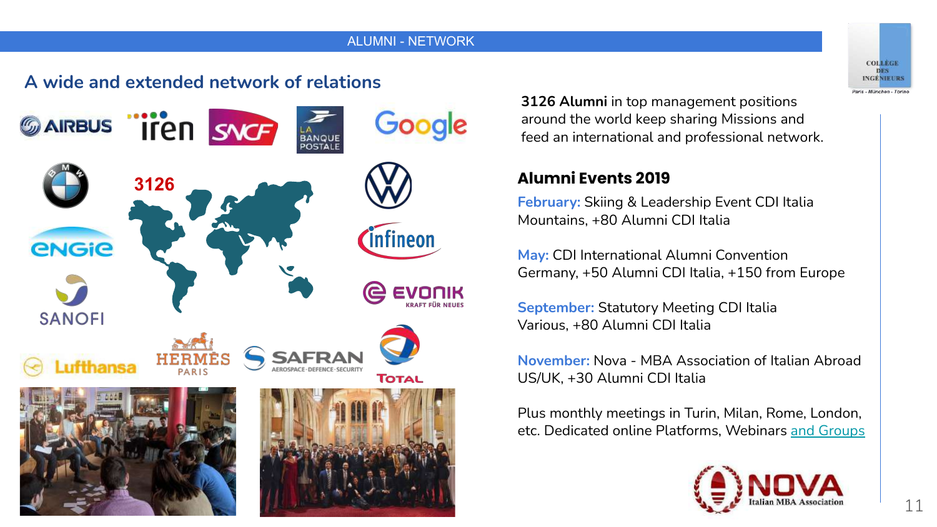#### ALUMNI - NETWORK

## **A wide and extended network of relations**



**3126 Alumni** in top management positions around the world keep sharing Missions and feed an international and professional network.

## **Alumni Events 2019**

**February:** Skiing & Leadership Event CDI Italia Mountains, +80 Alumni CDI Italia

**May:** CDI International Alumni Convention Germany, +50 Alumni CDI Italia, +150 from Europe

**September: Statutory Meeting CDI Italia** Various, +80 Alumni CDI Italia

**November:** Nova - MBA Association of Italian Abroad US/UK, +30 Alumni CDI Italia

Plus monthly meetings in Turin, Milan, Rome, London, etc. Dedicated online Platforms, Webinars [and Groups](https://www.linkedin.com/company/associazione-alumni-cdi-italia/)